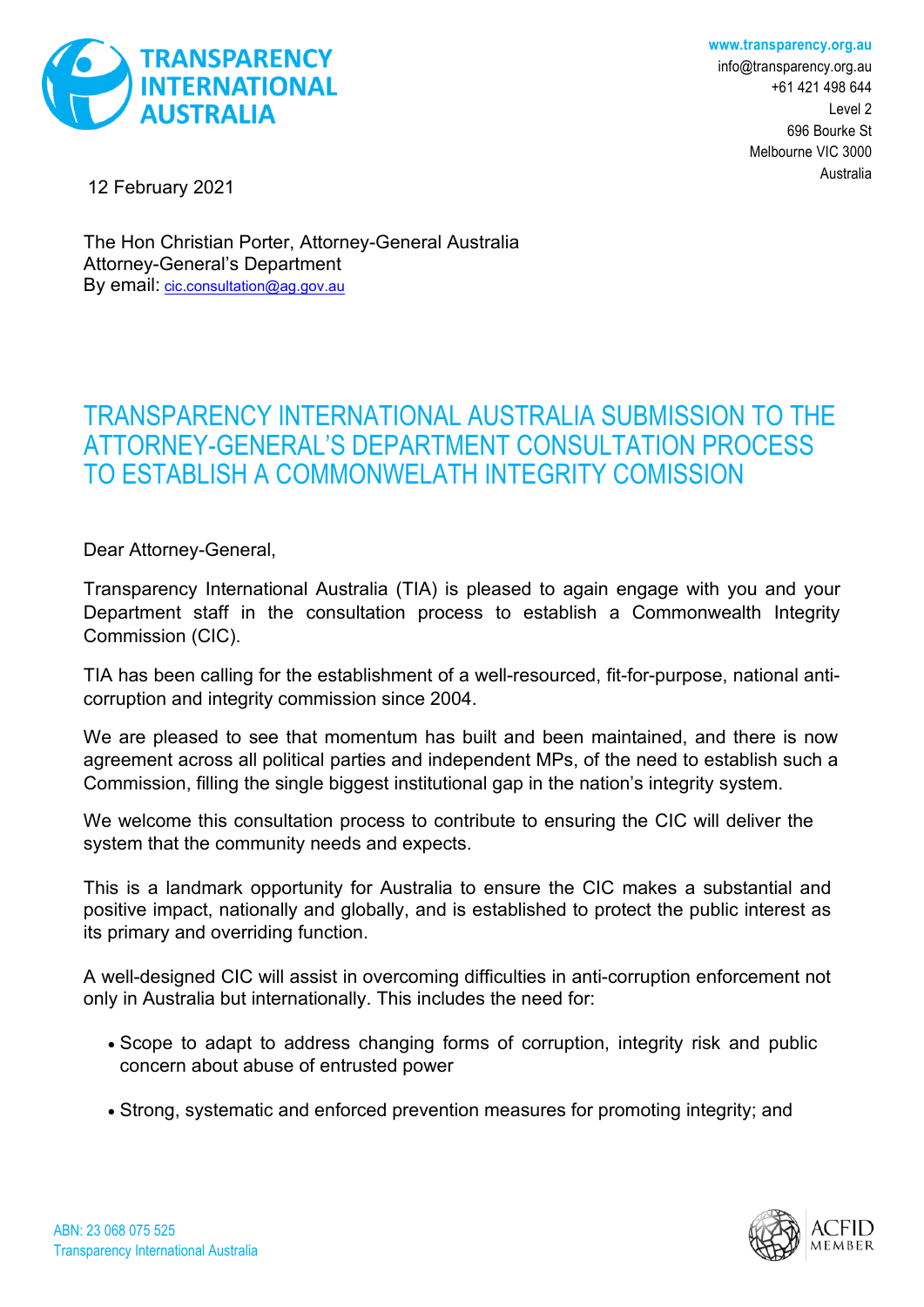



[info@transparency.org.au](mailto:info@transparency.org.au) +61 421 498 644 Level 2 696 Bourke St Melbourne VIC 3000 Australia

12 February 2021

The Hon Christian Porter, Attorney-General Australia Attorney-General's Department By email: [cic.consultation@ag.gov.au](mailto:cic.consultation@ag.gov.au)

## TRANSPARENCY INTERNATIONAL AUSTRALIA SUBMISSION TO THE ATTORNEY-GENERAL'S DEPARTMENT CONSULTATION PROCESS TO ESTABLISH A COMMONWELATH INTEGRITY COMISSION

Dear Attorney-General,

Transparency International Australia (TIA) is pleased to again engage with you and your Department staff in the consultation process to establish a Commonwealth Integrity Commission (CIC).

TIA has been calling for the establishment of a well-resourced, fit-for-purpose, national anticorruption and integrity commission since 2004.

We are pleased to see that momentum has built and been maintained, and there is now agreement across all political parties and independent MPs, of the need to establish such a Commission, filling the single biggest institutional gap in the nation's integrity system.

We welcome this consultation process to contribute to ensuring the CIC will deliver the system that the community needs and expects.

This is a landmark opportunity for Australia to ensure the CIC makes a substantial and positive impact, nationally and globally, and is established to protect the public interest as its primary and overriding function.

A well-designed CIC will assist in overcoming difficulties in anti-corruption enforcement not only in Australia but internationally. This includes the need for:

- Scope to adapt to address changing forms of corruption, integrity risk and public concern about abuse of entrusted power
- Strong, systematic and enforced prevention measures for promoting integrity; and

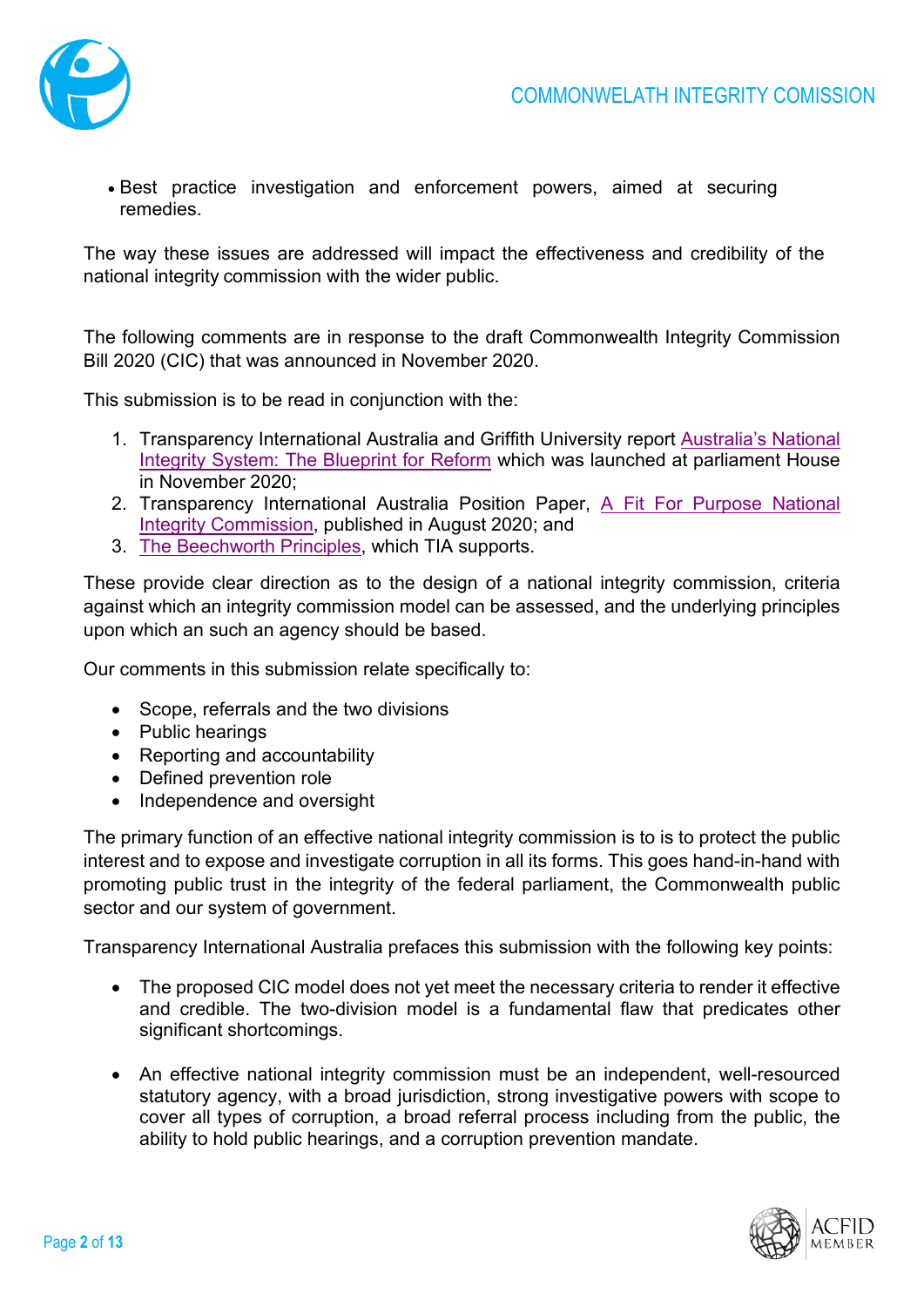

• Best practice investigation and enforcement powers, aimed at securing remedies.

The way these issues are addressed will impact the effectiveness and credibility of the national integrity commission with the wider public.

The following comments are in response to the draft Commonwealth Integrity Commission Bill 2020 (CIC) that was announced in November 2020.

This submission is to be read in conjunction with the:

- 1. Transparency International Australia and Griffith University report [Australia's National](https://transparency.org.au/australias-national-integrity-system/)  [Integrity System: The Blueprint for Reform](https://transparency.org.au/australias-national-integrity-system/) which was launched at parliament House in November 2020;
- 2. Transparency International Australia Position Paper, [A Fit For Purpose National](https://transparency.org.au/a-fit-for-purpose-national-integrity-commission/)  [Integrity Commission,](https://transparency.org.au/a-fit-for-purpose-national-integrity-commission/) published in August 2020; and
- 3. [The Beechworth Principles,](https://www.helenhaines.org/issues/integrity) which TIA supports.

These provide clear direction as to the design of a national integrity commission, criteria against which an integrity commission model can be assessed, and the underlying principles upon which an such an agency should be based.

Our comments in this submission relate specifically to:

- Scope, referrals and the two divisions
- Public hearings
- Reporting and accountability
- Defined prevention role
- Independence and oversight

The primary function of an effective national integrity commission is to is to protect the public interest and to expose and investigate corruption in all its forms. This goes hand-in-hand with promoting public trust in the integrity of the federal parliament, the Commonwealth public sector and our system of government.

Transparency International Australia prefaces this submission with the following key points:

- The proposed CIC model does not yet meet the necessary criteria to render it effective and credible. The two-division model is a fundamental flaw that predicates other significant shortcomings.
- An effective national integrity commission must be an independent, well-resourced statutory agency, with a broad jurisdiction, strong investigative powers with scope to cover all types of corruption, a broad referral process including from the public, the ability to hold public hearings, and a corruption prevention mandate.

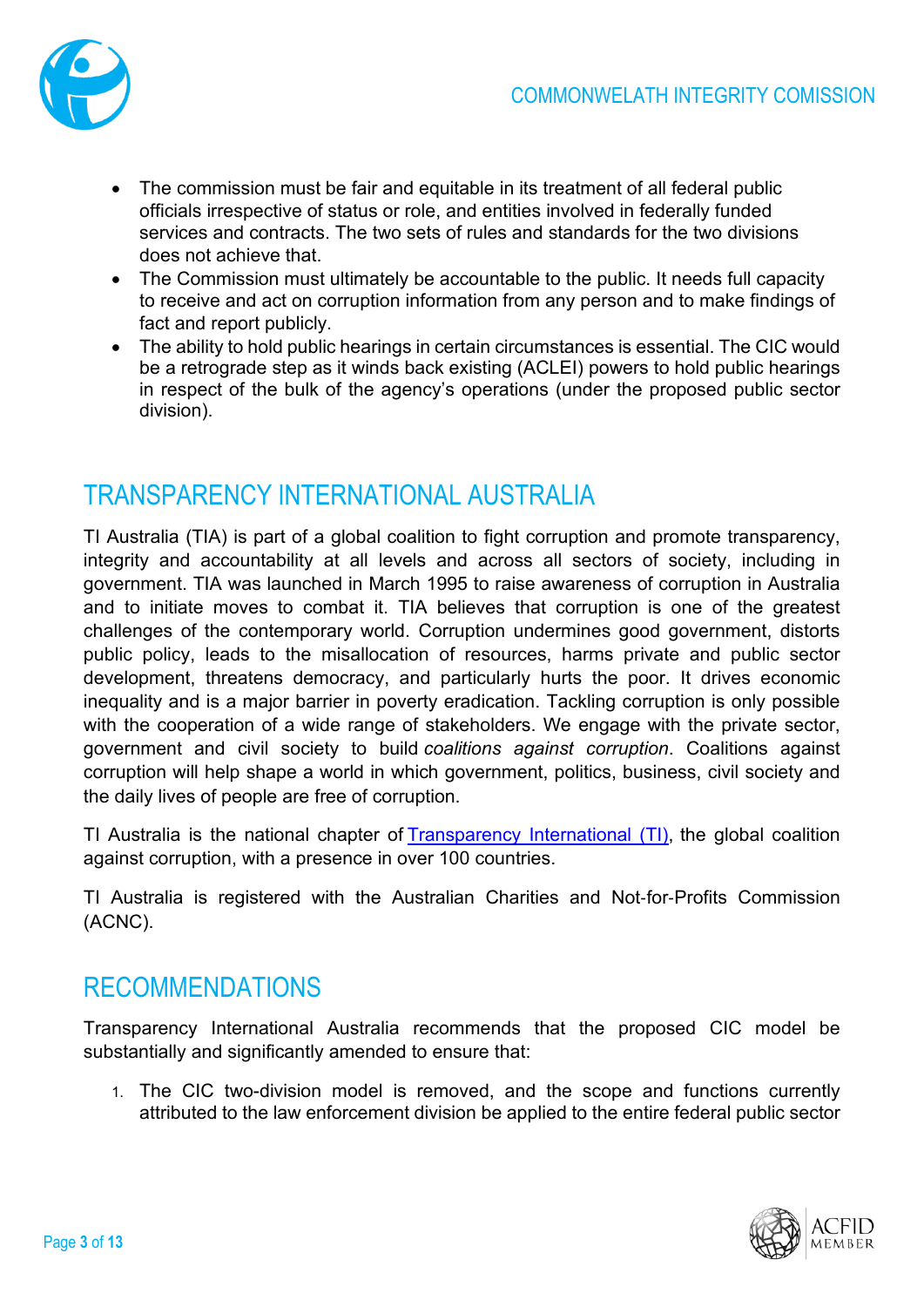

- The commission must be fair and equitable in its treatment of all federal public officials irrespective of status or role, and entities involved in federally funded services and contracts. The two sets of rules and standards for the two divisions does not achieve that.
- The Commission must ultimately be accountable to the public. It needs full capacity to receive and act on corruption information from any person and to make findings of fact and report publicly.
- The ability to hold public hearings in certain circumstances is essential. The CIC would be a retrograde step as it winds back existing (ACLEI) powers to hold public hearings in respect of the bulk of the agency's operations (under the proposed public sector division).

# TRANSPARENCY INTERNATIONAL AUSTRALIA

TI Australia (TIA) is part of a global coalition to fight corruption and promote transparency, integrity and accountability at all levels and across all sectors of society, including in government. TIA was launched in March 1995 to raise awareness of corruption in Australia and to initiate moves to combat it. TIA believes that corruption is one of the greatest challenges of the contemporary world. Corruption undermines good government, distorts public policy, leads to the misallocation of resources, harms private and public sector development, threatens democracy, and particularly hurts the poor. It drives economic inequality and is a major barrier in poverty eradication. Tackling corruption is only possible with the cooperation of a wide range of stakeholders. We engage with the private sector, government and civil society to build *coalitions against corruption*. Coalitions against corruption will help shape a world in which government, politics, business, civil society and the daily lives of people are free of corruption.

TI Australia is the national chapter of [Transparency International \(TI\),](http://www.transparency.org/) the global coalition against corruption, with a presence in over 100 countries.

TI Australia is registered with the Australian Charities and Not‐for‐Profits Commission (ACNC).

# RECOMMENDATIONS

Transparency International Australia recommends that the proposed CIC model be substantially and significantly amended to ensure that:

1. The CIC two-division model is removed, and the scope and functions currently attributed to the law enforcement division be applied to the entire federal public sector

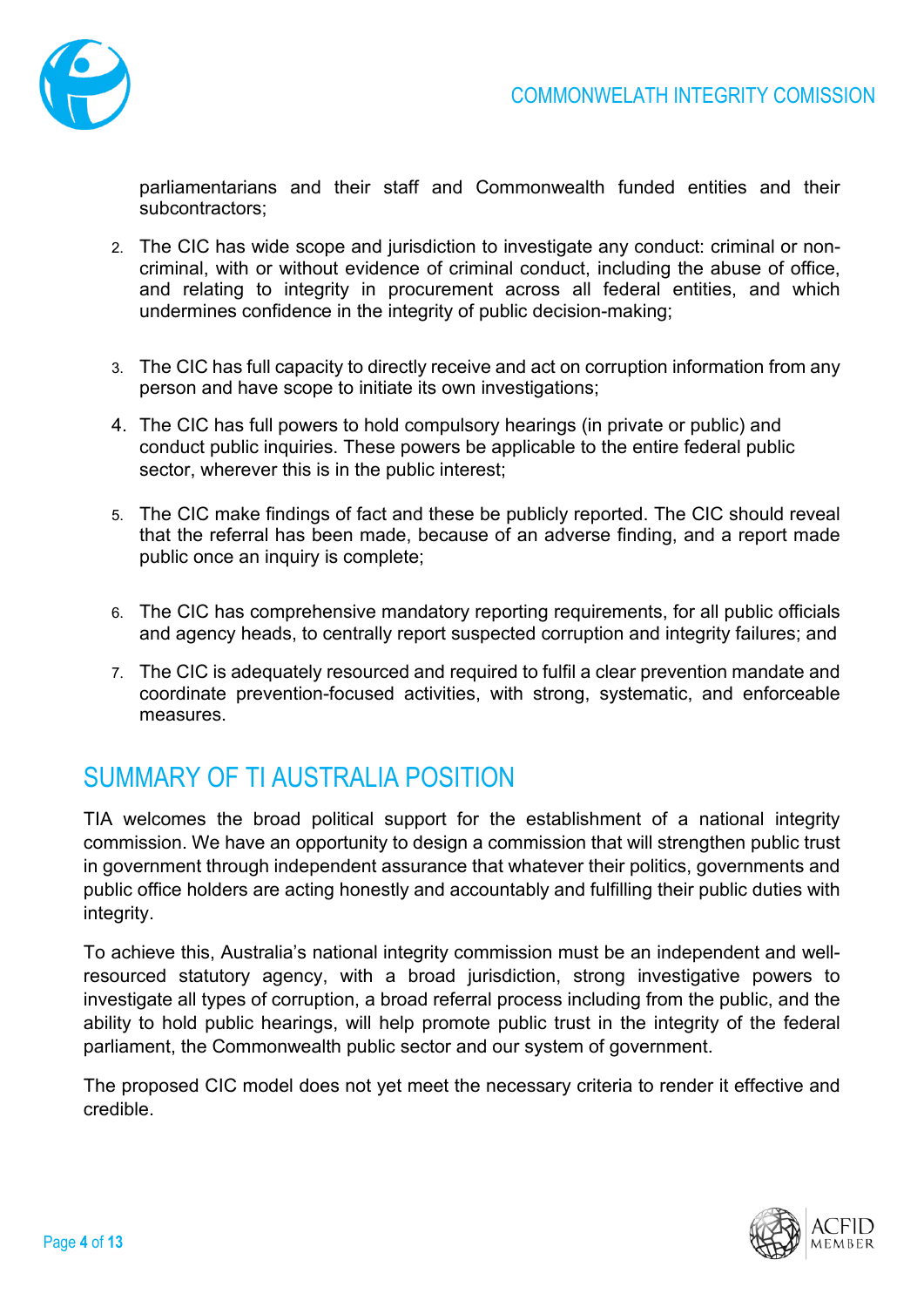

parliamentarians and their staff and Commonwealth funded entities and their subcontractors;

- 2. The CIC has wide scope and jurisdiction to investigate any conduct: criminal or noncriminal, with or without evidence of criminal conduct, including the abuse of office, and relating to integrity in procurement across all federal entities, and which undermines confidence in the integrity of public decision-making;
- 3. The CIC has full capacity to directly receive and act on corruption information from any person and have scope to initiate its own investigations;
- 4. The CIC has full powers to hold compulsory hearings (in private or public) and conduct public inquiries. These powers be applicable to the entire federal public sector, wherever this is in the public interest;
- 5. The CIC make findings of fact and these be publicly reported. The CIC should reveal that the referral has been made, because of an adverse finding, and a report made public once an inquiry is complete;
- 6. The CIC has comprehensive mandatory reporting requirements, for all public officials and agency heads, to centrally report suspected corruption and integrity failures; and
- 7. The CIC is adequately resourced and required to fulfil a clear prevention mandate and coordinate prevention-focused activities, with strong, systematic, and enforceable measures.

# SUMMARY OF TI AUSTRALIA POSITION

TIA welcomes the broad political support for the establishment of a national integrity commission. We have an opportunity to design a commission that will strengthen public trust in government through independent assurance that whatever their politics, governments and public office holders are acting honestly and accountably and fulfilling their public duties with integrity.

To achieve this, Australia's national integrity commission must be an independent and wellresourced statutory agency, with a broad jurisdiction, strong investigative powers to investigate all types of corruption, a broad referral process including from the public, and the ability to hold public hearings, will help promote public trust in the integrity of the federal parliament, the Commonwealth public sector and our system of government.

The proposed CIC model does not yet meet the necessary criteria to render it effective and credible.

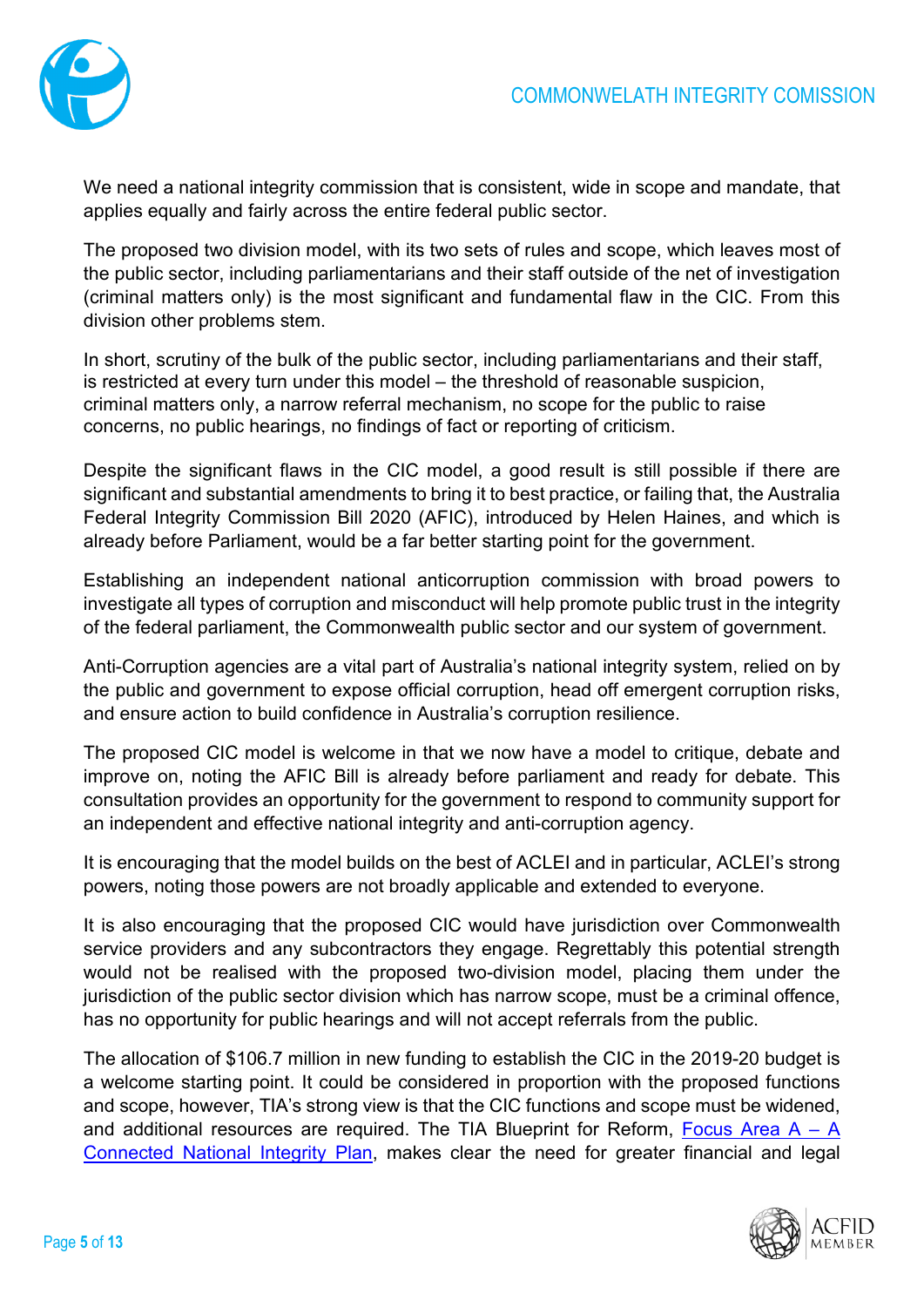

We need a national integrity commission that is consistent, wide in scope and mandate, that applies equally and fairly across the entire federal public sector.

The proposed two division model, with its two sets of rules and scope, which leaves most of the public sector, including parliamentarians and their staff outside of the net of investigation (criminal matters only) is the most significant and fundamental flaw in the CIC. From this division other problems stem.

In short, scrutiny of the bulk of the public sector, including parliamentarians and their staff, is restricted at every turn under this model – the threshold of reasonable suspicion, criminal matters only, a narrow referral mechanism, no scope for the public to raise concerns, no public hearings, no findings of fact or reporting of criticism.

Despite the significant flaws in the CIC model, a good result is still possible if there are significant and substantial amendments to bring it to best practice, or failing that, the Australia Federal Integrity Commission Bill 2020 (AFIC), introduced by Helen Haines, and which is already before Parliament, would be a far better starting point for the government.

Establishing an independent national anticorruption commission with broad powers to investigate all types of corruption and misconduct will help promote public trust in the integrity of the federal parliament, the Commonwealth public sector and our system of government.

Anti-Corruption agencies are a vital part of Australia's national integrity system, relied on by the public and government to expose official corruption, head off emergent corruption risks, and ensure action to build confidence in Australia's corruption resilience.

The proposed CIC model is welcome in that we now have a model to critique, debate and improve on, noting the AFIC Bill is already before parliament and ready for debate. This consultation provides an opportunity for the government to respond to community support for an independent and effective national integrity and anti-corruption agency.

It is encouraging that the model builds on the best of ACLEI and in particular, ACLEI's strong powers, noting those powers are not broadly applicable and extended to everyone.

It is also encouraging that the proposed CIC would have jurisdiction over Commonwealth service providers and any subcontractors they engage. Regrettably this potential strength would not be realised with the proposed two-division model, placing them under the jurisdiction of the public sector division which has narrow scope, must be a criminal offence, has no opportunity for public hearings and will not accept referrals from the public.

The allocation of \$106.7 million in new funding to establish the CIC in the 2019-20 budget is a welcome starting point. It could be considered in proportion with the proposed functions and scope, however, TIA's strong view is that the CIC functions and scope must be widened, and additional resources are required. The TIA Blueprint for Reform, Focus Area  $A - A$ [Connected National Integrity Plan,](https://transparency.org.au/a-connected-national-integrity-plan/) makes clear the need for greater financial and legal

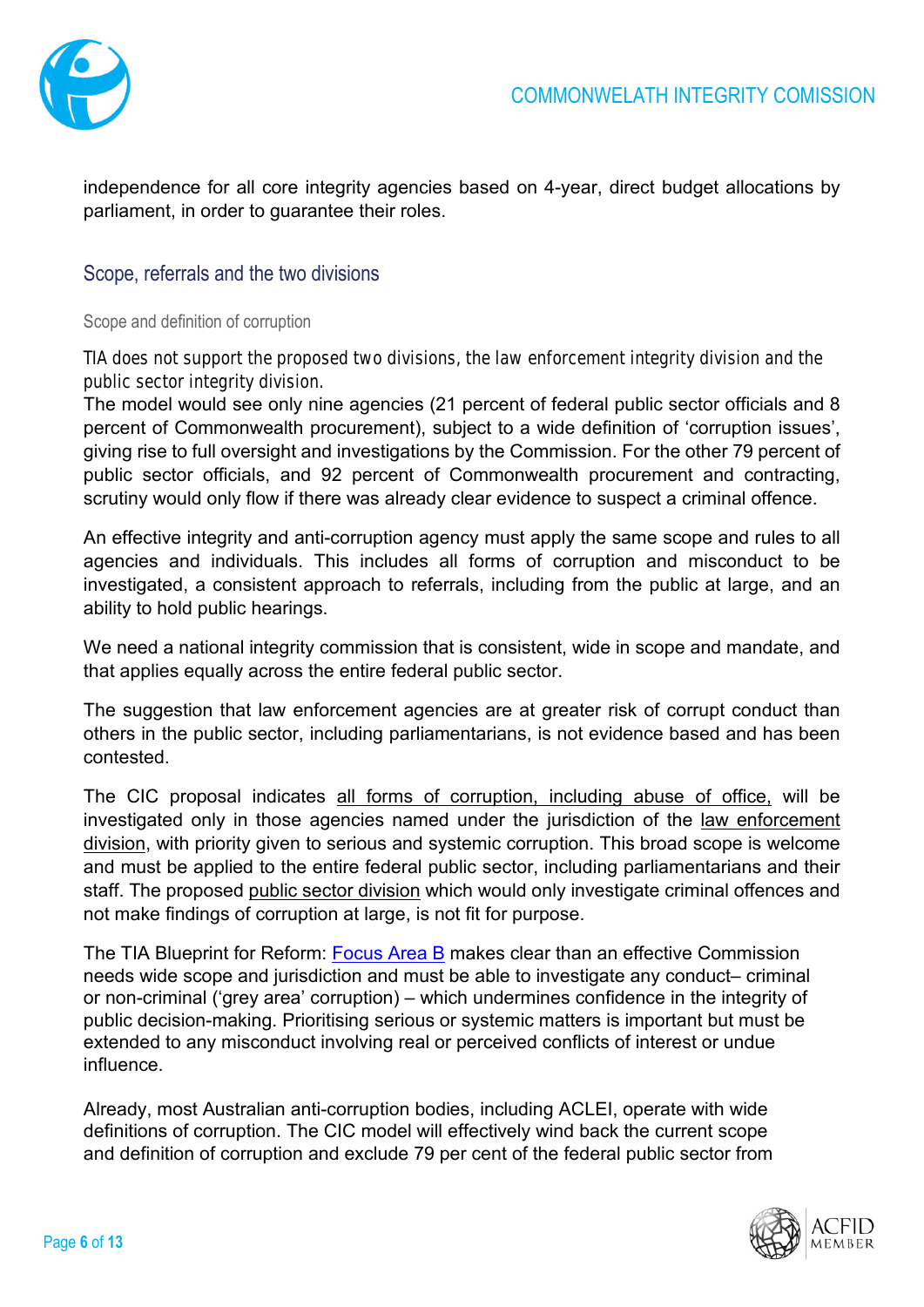

independence for all core integrity agencies based on 4-year, direct budget allocations by parliament, in order to guarantee their roles.

### Scope, referrals and the two divisions

Scope and definition of corruption

#### TIA does not support the proposed two divisions, the law enforcement integrity division and the public sector integrity division.

The model would see only nine agencies (21 percent of federal public sector officials and 8 percent of Commonwealth procurement), subject to a wide definition of 'corruption issues', giving rise to full oversight and investigations by the Commission. For the other 79 percent of public sector officials, and 92 percent of Commonwealth procurement and contracting, scrutiny would only flow if there was already clear evidence to suspect a criminal offence.

An effective integrity and anti-corruption agency must apply the same scope and rules to all agencies and individuals. This includes all forms of corruption and misconduct to be investigated, a consistent approach to referrals, including from the public at large, and an ability to hold public hearings.

We need a national integrity commission that is consistent, wide in scope and mandate, and that applies equally across the entire federal public sector.

The suggestion that law enforcement agencies are at greater risk of corrupt conduct than others in the public sector, including parliamentarians, is not evidence based and has been contested.

The CIC proposal indicates all forms of corruption, including abuse of office, will be investigated only in those agencies named under the jurisdiction of the law enforcement division, with priority given to serious and systemic corruption. This broad scope is welcome and must be applied to the entire federal public sector, including parliamentarians and their staff. The proposed public sector division which would only investigate criminal offences and not make findings of corruption at large, is not fit for purpose.

The TIA Blueprint for Reform: [Focus Area B](https://transparency.org.au/a-strong-federal-integrity-commission/) makes clear than an effective Commission needs wide scope and jurisdiction and must be able to investigate any conduct– criminal or non-criminal ('grey area' corruption) – which undermines confidence in the integrity of public decision-making. Prioritising serious or systemic matters is important but must be extended to any misconduct involving real or perceived conflicts of interest or undue influence.

Already, most Australian anti-corruption bodies, including ACLEI, operate with wide definitions of corruption. The CIC model will effectively wind back the current scope and definition of corruption and exclude 79 per cent of the federal public sector from

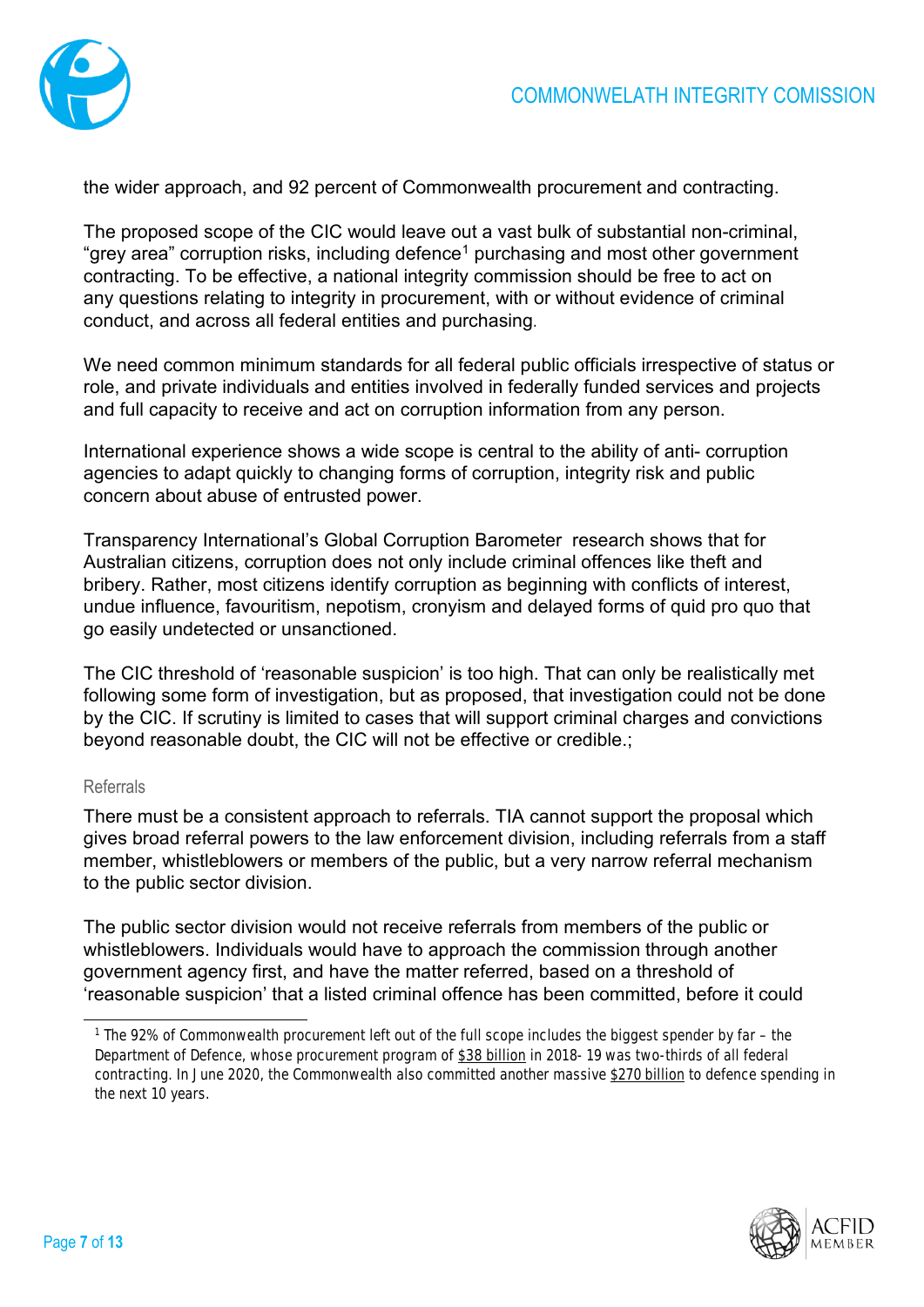

the wider approach, and 92 percent of Commonwealth procurement and contracting.

The proposed scope of the CIC would leave out a vast bulk of substantial non-criminal, "grey area" corruption risks, including defence<sup>[1](#page-6-0)</sup> purchasing and most other government contracting. To be effective, a national integrity commission should be free to act on any questions relating to integrity in procurement, with or without evidence of criminal conduct, and across all federal entities and purchasing.

We need common minimum standards for all federal public officials irrespective of status or role, and private individuals and entities involved in federally funded services and projects and full capacity to receive and act on corruption information from any person.

International experience shows a wide scope is central to the ability of anti- corruption agencies to adapt quickly to changing forms of corruption, integrity risk and public concern about abuse of entrusted power.

[Transparency International's Global](https://transparency.org.au/the-global-corruption-barometer-survey-results/) [Corruption Barometer r](https://transparency.org.au/the-global-corruption-barometer-survey-results/)esearch shows that for Australian citizens, corruption does not only include criminal offences like theft and bribery. Rather, most citizens identify corruption as beginning with conflicts of interest, undue influence, favouritism, nepotism, cronyism and delayed forms of quid pro quo that go easily undetected or unsanctioned.

The CIC threshold of 'reasonable suspicion' is too high. That can only be realistically met following some form of investigation, but as proposed, that investigation could not be done by the CIC. If scrutiny is limited to cases that will support criminal charges and convictions beyond reasonable doubt, the CIC will not be effective or credible.;

#### Referrals

There must be a consistent approach to referrals. TIA cannot support the proposal which gives broad referral powers to the law enforcement division, including referrals from a staff member, whistleblowers or members of the public, but a very narrow referral mechanism to the public sector division.

The public sector division would not receive referrals from members of the public or whistleblowers. Individuals would have to approach the commission [through](https://theconversation.com/explainer-what-is-the-proposed-commonwealth-integrity-commission-and-how-would-it-work-140734) [another](https://theconversation.com/explainer-what-is-the-proposed-commonwealth-integrity-commission-and-how-would-it-work-140734)  [government agency first,](https://theconversation.com/explainer-what-is-the-proposed-commonwealth-integrity-commission-and-how-would-it-work-140734) and have the matter referred, based on a threshold of 'reasonable suspicion' that a listed criminal offence has been committed, before it could



<span id="page-6-0"></span><sup>1</sup> The 92% of Commonwealth procurement left out of the full scope includes the biggest spender by far – the Department of Defence, whose procurement program of [\\$38 billion](https://www.finance.gov.au/government/procurement/statistics-australian-government-procurement-contracts-) in 2018- 19 was two-thirds of all federal contracting. In June 2020, the Commonwealth also committed another massive [\\$270 billion](https://www.abc.net.au/news/2020-06-30/australia-unveils-10-year-defence-strategy/12408232) to defence spending in the next 10 years.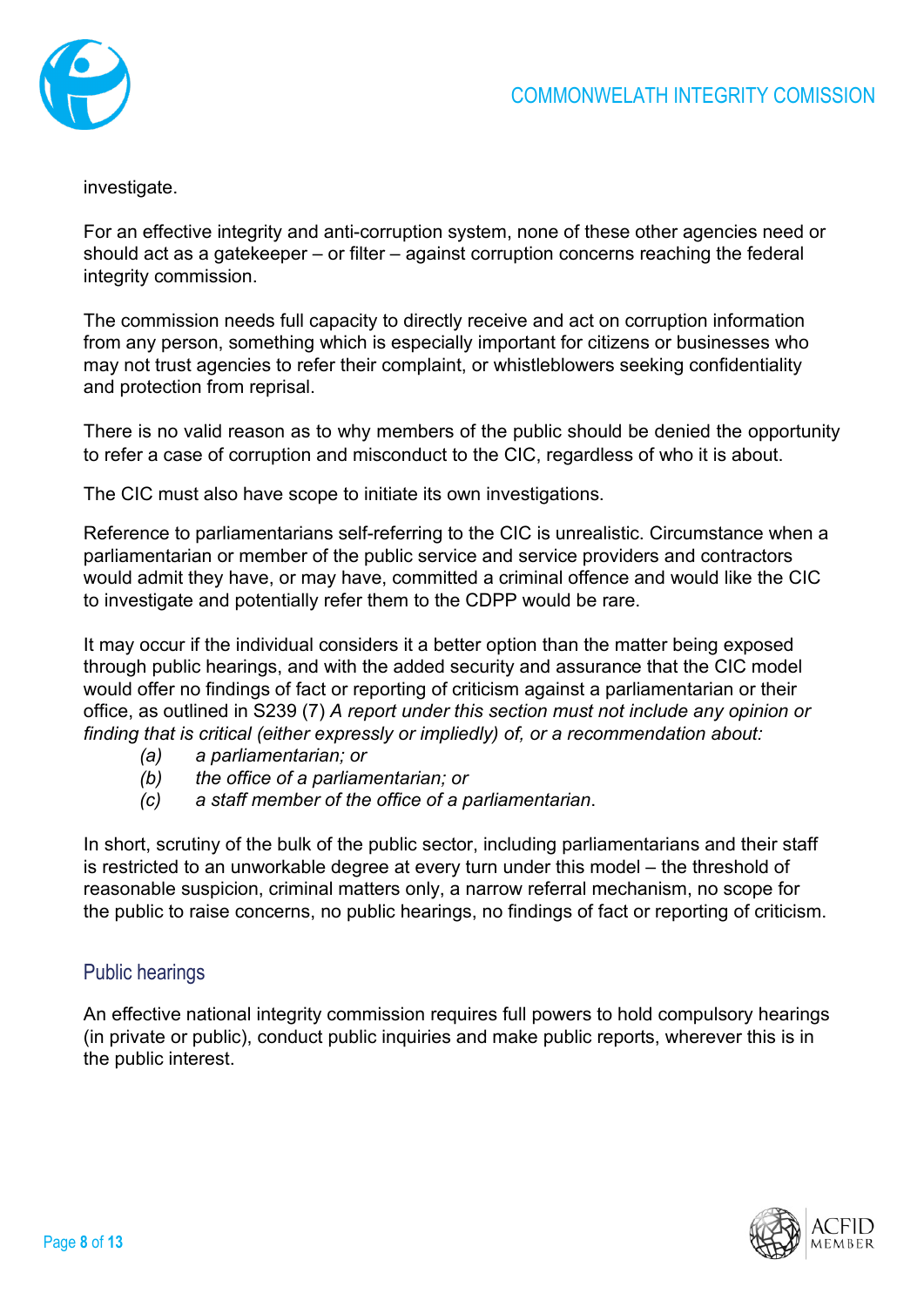

investigate.

For an effective integrity and anti-corruption system, none of these other agencies need or should act as a gatekeeper – or filter – against corruption concerns reaching the federal integrity commission.

The commission needs full capacity to directly receive and act on corruption information from any person, something which is especially important for citizens or businesses who may not trust agencies to refer their complaint, or whistleblowers seeking confidentiality and protection from reprisal.

There is no valid reason as to why members of the public should be denied the opportunity to refer a case of corruption and misconduct to the CIC, regardless of who it is about.

The CIC must also have scope to initiate its own investigations.

Reference to parliamentarians self-referring to the CIC is unrealistic. Circumstance when a parliamentarian or member of the public service and service providers and contractors would admit they have, or may have, committed a criminal offence and would like the CIC to investigate and potentially refer them to the CDPP would be rare.

It may occur if the individual considers it a better option than the matter being exposed through public hearings, and with the added security and assurance that the CIC model would offer no findings of fact or reporting of criticism against a parliamentarian or their office, as outlined in S239 (7) *A report under this section must not include any opinion or finding that is critical (either expressly or impliedly) of, or a recommendation about:*

- *(a) a parliamentarian; or*
- *(b) the office of a parliamentarian; or*
- *(c) a staff member of the office of a parliamentarian*.

In short, scrutiny of the bulk of the public sector, including parliamentarians and their staff is restricted to an unworkable degree at every turn under this model – the threshold of reasonable suspicion, criminal matters only, a narrow referral mechanism, no scope for the public to raise concerns, no public hearings, no findings of fact or reporting of criticism.

### Public hearings

An effective national integrity commission requires full powers to hold compulsory hearings (in private or public), conduct public inquiries and make public reports, wherever this is in the public interest.

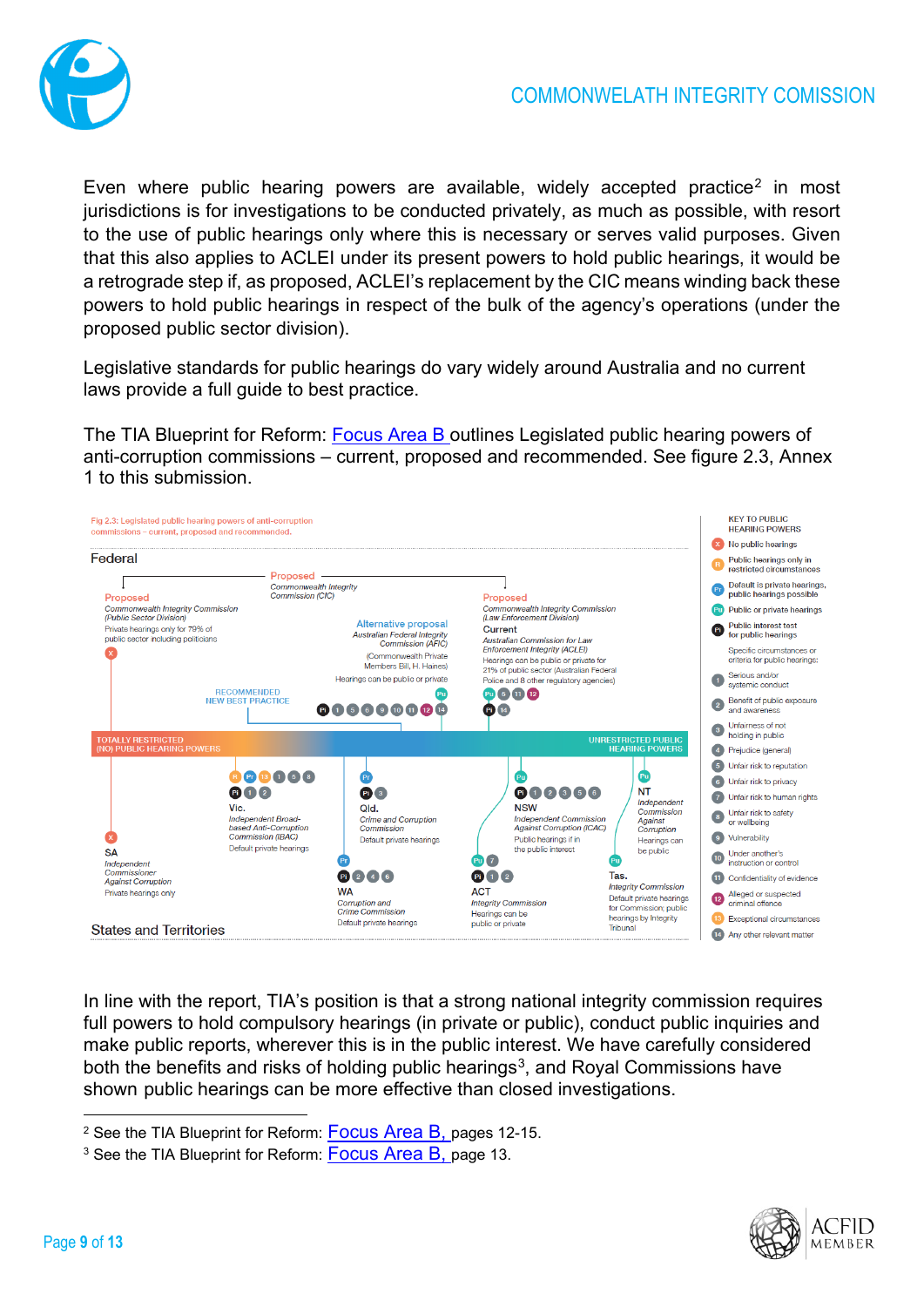

Even where public hearing powers are available, widely accepted practice<sup>[2](#page-8-0)</sup> in most jurisdictions is for investigations to be conducted privately, as much as possible, with resort to the use of public hearings only where this is necessary or serves valid purposes. Given that this also applies to ACLEI under its present powers to hold public hearings, it would be a retrograde step if, as proposed, ACLEI's replacement by the CIC means winding back these powers to hold public hearings in respect of the bulk of the agency's operations (under the proposed public sector division).

Legislative standards for public hearings do vary widely around Australia and no current laws provide a full guide to best practice.

The TIA Blueprint for Reform: [Focus Area B](https://transparency.org.au/a-strong-federal-integrity-commission/) outlines Legislated public hearing powers of anti-corruption commissions – current, proposed and recommended. See figure 2.3, Annex 1 to this submission.



In line with the report, TIA's position is that a strong national integrity commission requires full powers to hold compulsory hearings (in private or public), conduct public inquiries and make public reports, wherever this is in the public interest. We have carefully considered both the benefits and risks of holding public hearings<sup>[3](#page-8-1)</sup>, and Royal Commissions have shown public hearings can be more effective than closed investigations.



<span id="page-8-0"></span><sup>&</sup>lt;sup>2</sup> See the TIA Blueprint for Reform: [Focus Area B,](https://transparency.org.au/a-strong-federal-integrity-commission/) pages 12-15.

<span id="page-8-1"></span><sup>&</sup>lt;sup>3</sup> See the TIA Blueprint for Reform: **Focus Area B**, page 13.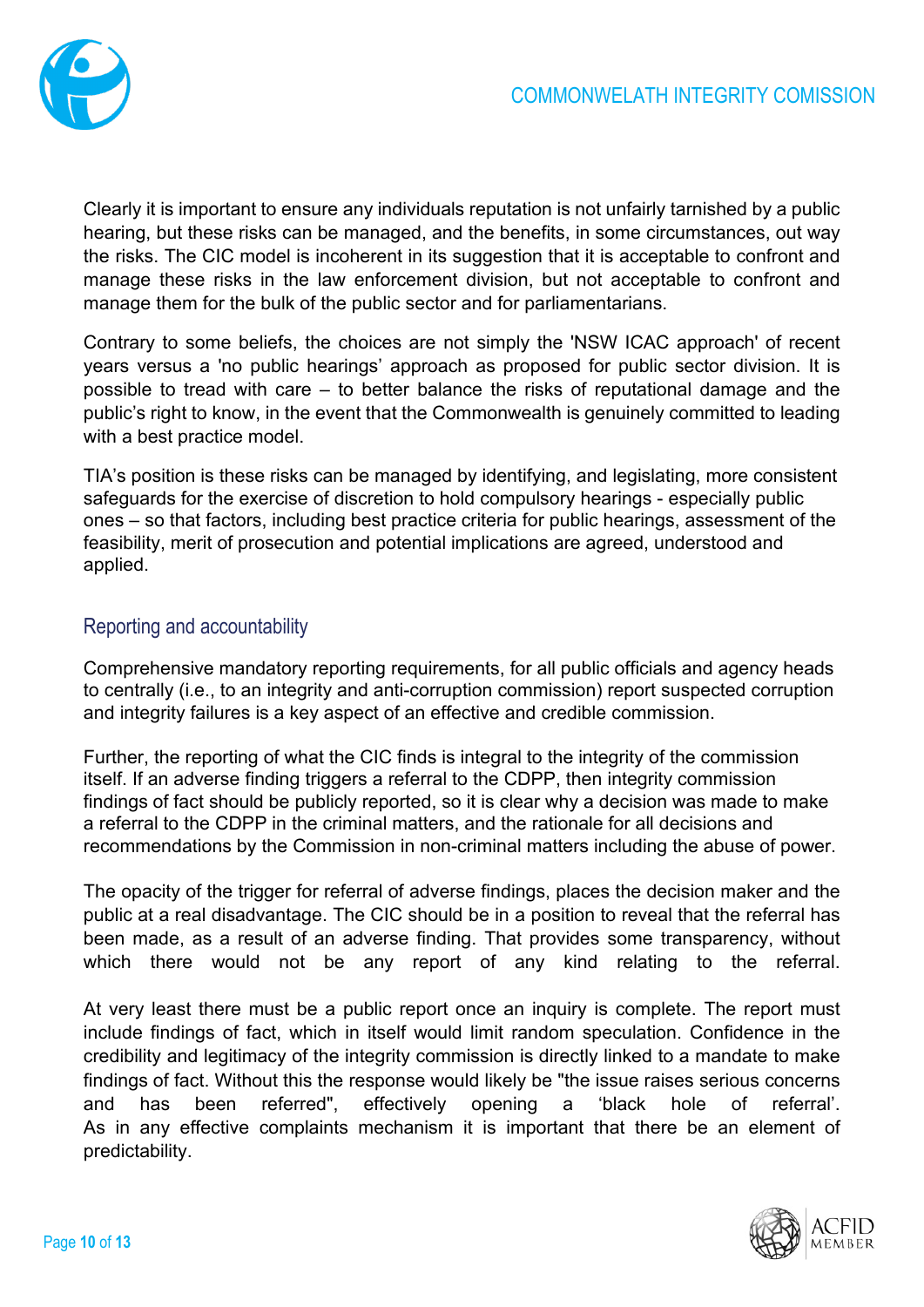

Clearly it is important to ensure any individuals reputation is not unfairly tarnished by a public hearing, but these risks can be managed, and the benefits, in some circumstances, out way the risks. The CIC model is incoherent in its suggestion that it is acceptable to confront and manage these risks in the law enforcement division, but not acceptable to confront and manage them for the bulk of the public sector and for parliamentarians.

Contrary to some beliefs, the choices are not simply the 'NSW ICAC approach' of recent years versus a 'no public hearings' approach as proposed for public sector division. It is possible to tread with care – to better balance the risks of reputational damage and the public's right to know, in the event that the Commonwealth is genuinely committed to leading with a best practice model.

TIA's position is these risks can be managed by identifying, and legislating, more consistent safeguards for the exercise of discretion to hold compulsory hearings - especially public ones – so that factors, including best practice criteria for public hearings, assessment of the feasibility, merit of prosecution and potential implications are agreed, understood and applied.

### Reporting and accountability

Comprehensive mandatory reporting requirements, for all public officials and agency heads to centrally (i.e., to an integrity and anti-corruption commission) report suspected corruption and integrity failures is a key aspect of an effective and credible commission.

Further, the reporting of what the CIC finds is integral to the integrity of the commission itself. If an adverse finding triggers a referral to the CDPP, then integrity commission findings of fact should be publicly reported, so it is clear why a decision was made to make a referral to the CDPP in the criminal matters, and the rationale for all decisions and recommendations by the Commission in non-criminal matters including the abuse of power.

The opacity of the trigger for referral of adverse findings, places the decision maker and the public at a real disadvantage. The CIC should be in a position to reveal that the referral has been made, as a result of an adverse finding. That provides some transparency, without which there would not be any report of any kind relating to the referral.

At very least there must be a public report once an inquiry is complete. The report must include findings of fact, which in itself would limit random speculation. Confidence in the credibility and legitimacy of the integrity commission is directly linked to a mandate to make findings of fact. Without this the response would likely be "the issue raises serious concerns and has been referred", effectively opening a 'black hole of referral'. As in any effective complaints mechanism it is important that there be an element of predictability.

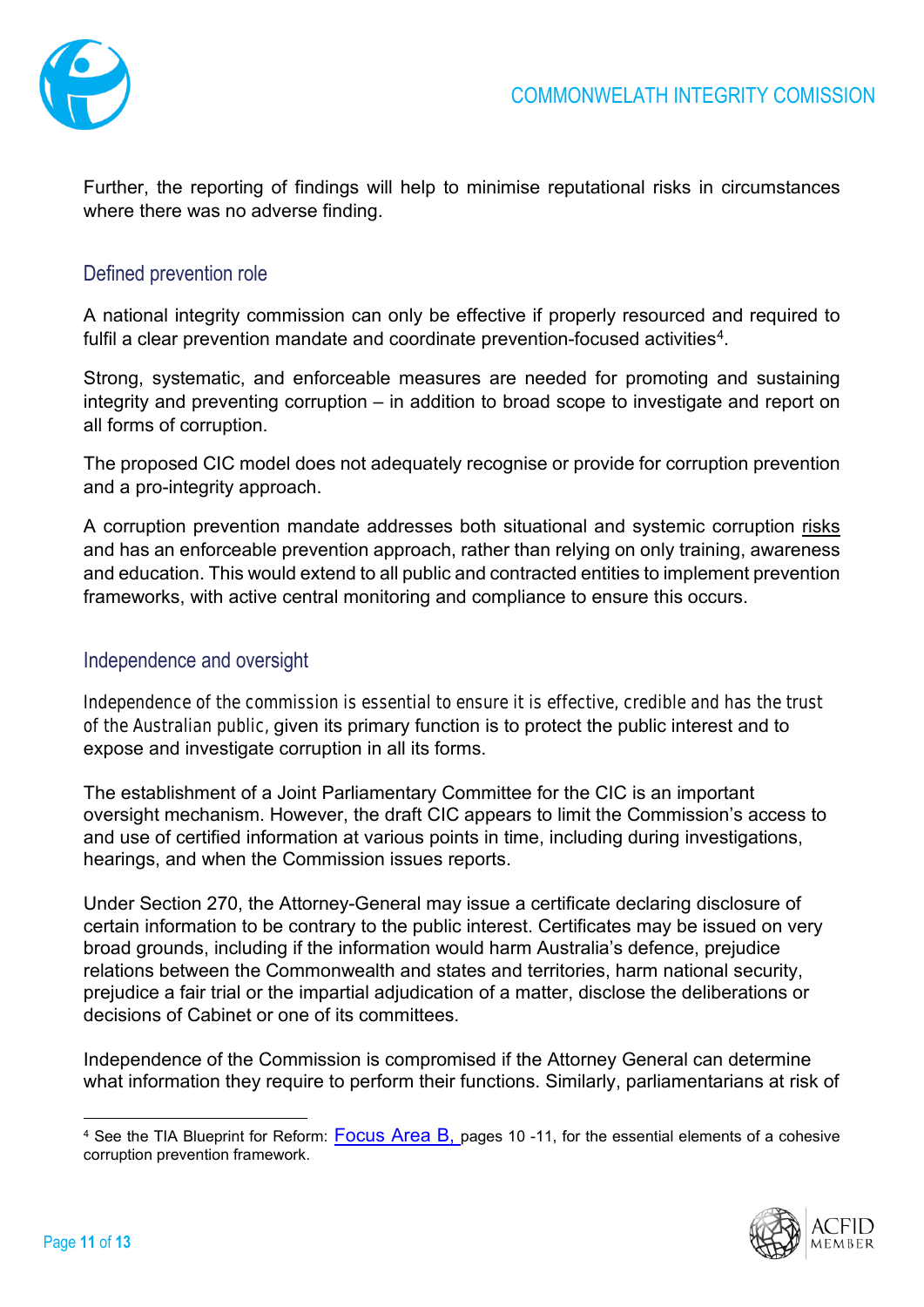

Further, the reporting of findings will help to minimise reputational risks in circumstances where there was no adverse finding.

### Defined prevention role

A national integrity commission can only be effective if properly resourced and required to fulfil a clear prevention mandate and coordinate prevention-focused activities<sup>4</sup>.

Strong, systematic, and enforceable measures are needed for promoting and sustaining integrity and preventing corruption – in addition to broad scope to investigate and report on all forms of corruption.

The proposed CIC model does not adequately recognise or provide for corruption prevention and a pro-integrity approach.

A corruption prevention mandate addresses both situational and systemic corruption risks and has an enforceable prevention approach, rather than relying on only training, awareness and education. This would extend to all public and contracted entities to implement prevention frameworks, with active central monitoring and compliance to ensure this occurs.

### Independence and oversight

Independence of the commission is essential to ensure it is effective, credible and has the trust of the Australian public, given its primary function is to protect the public interest and to expose and investigate corruption in all its forms.

The establishment of a Joint Parliamentary Committee for the CIC is an important oversight mechanism. However, the draft CIC appears to limit the Commission's access to and use of certified information at various points in time, including during investigations, hearings, and when the Commission issues reports.

Under Section 270, the Attorney-General may issue a certificate declaring disclosure of certain information to be contrary to the public interest. Certificates may be issued on very broad grounds, including if the information would harm Australia's defence, prejudice relations between the Commonwealth and states and territories, harm national security, prejudice a fair trial or the impartial adjudication of a matter, disclose the deliberations or decisions of Cabinet or one of its committees.

Independence of the Commission is compromised if the Attorney General can determine what information they require to perform their functions. Similarly, parliamentarians at risk of

<span id="page-10-0"></span><sup>&</sup>lt;sup>4</sup> See the TIA Blueprint for Reform: [Focus Area B,](https://transparency.org.au/a-strong-federal-integrity-commission/) pages 10 -11, for the essential elements of a cohesive corruption prevention framework.

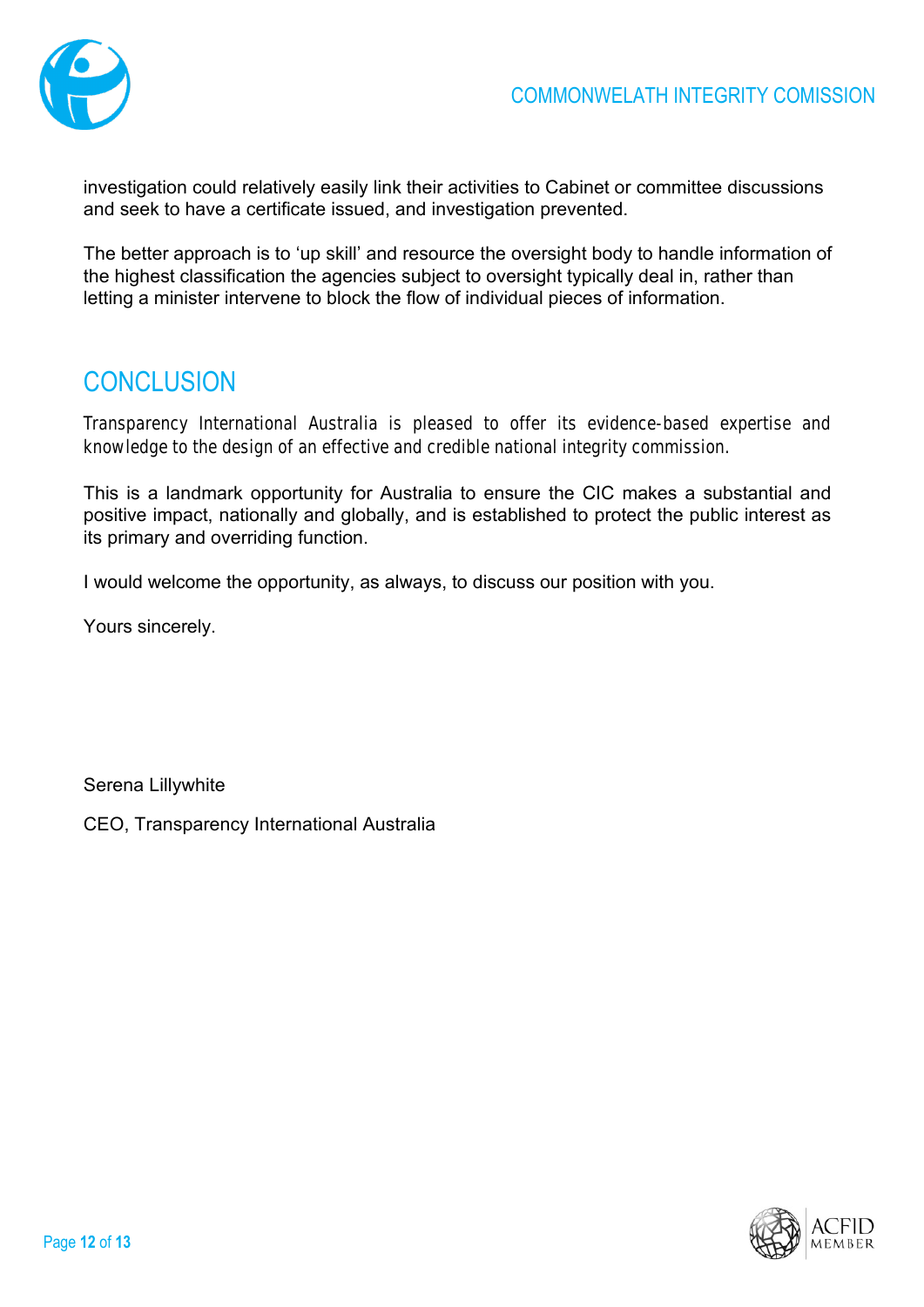

investigation could relatively easily link their activities to Cabinet or committee discussions and seek to have a certificate issued, and investigation prevented.

The better approach is to 'up skill' and resource the oversight body to handle information of the highest classification the agencies subject to oversight typically deal in, rather than letting a minister intervene to block the flow of individual pieces of information.

# **CONCLUSION**

Transparency International Australia is pleased to offer its evidence-based expertise and knowledge to the design of an effective and credible national integrity commission.

This is a landmark opportunity for Australia to ensure the CIC makes a substantial and positive impact, nationally and globally, and is established to protect the public interest as its primary and overriding function.

I would welcome the opportunity, as always, to discuss our position with you.

Yours sincerely.

Serena Lillywhite

CEO, Transparency International Australia